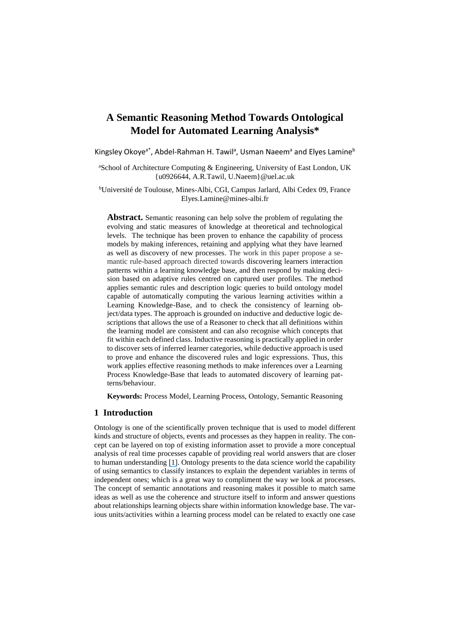# **A Semantic Reasoning Method Towards Ontological Model for Automated Learning Analysis\***

Kingsley Okoye<sup>a\*</sup>, Abdel-Rahman H. Tawil<sup>a</sup>, Usman Naeem<sup>a</sup> and Elyes Lamine<sup>b</sup>

<sup>a</sup>School of Architecture Computing & Engineering, University of East London, UK {u0926644, A.R.Tawil, U.Naeem}@uel.ac.uk

<sup>b</sup>Université de Toulouse, Mines-Albi, CGI, Campus Jarlard, Albi Cedex 09, France Elyes.Lamine@mines-albi.fr

**Abstract.** Semantic reasoning can help solve the problem of regulating the evolving and static measures of knowledge at theoretical and technological levels. The technique has been proven to enhance the capability of process models by making inferences, retaining and applying what they have learned as well as discovery of new processes. The work in this paper propose a semantic rule-based approach directed towards discovering learners interaction patterns within a learning knowledge base, and then respond by making decision based on adaptive rules centred on captured user profiles. The method applies semantic rules and description logic queries to build ontology model capable of automatically computing the various learning activities within a Learning Knowledge-Base, and to check the consistency of learning object/data types. The approach is grounded on inductive and deductive logic descriptions that allows the use of a Reasoner to check that all definitions within the learning model are consistent and can also recognise which concepts that fit within each defined class. Inductive reasoning is practically applied in order to discover sets of inferred learner categories, while deductive approach is used to prove and enhance the discovered rules and logic expressions. Thus, this work applies effective reasoning methods to make inferences over a Learning Process Knowledge-Base that leads to automated discovery of learning patterns/behaviour.

**Keywords:** Process Model, Learning Process, Ontology, Semantic Reasoning

# **1 Introduction**

Ontology is one of the scientifically proven technique that is used to model different kinds and structure of objects, events and processes as they happen in reality. The concept can be layered on top of existing information asset to provide a more conceptual analysis of real time processes capable of providing real world answers that are closer to human understanding [\[1\]](https://www.researchgate.net/publication/265845261_A_Semantic_Rule-based_Approach_Supported_by_Process_Mining_for_Personalised_Adaptive_Learning?el=1_x_8&enrichId=rgreq-ac7fa952dbf15a0b779d3ff8a7c65959-XXX&enrichSource=Y292ZXJQYWdlOzI4NjkwNDkzMTtBUzozMDY2MzIwODc1Mzk3MTRAMTQ1MDExODE5NDU0Ng==). Ontology presents to the data science world the capability of using semantics to classify instances to explain the dependent variables in terms of independent ones; which is a great way to compliment the way we look at processes. The concept of semantic annotations and reasoning makes it possible to match same ideas as well as use the coherence and structure itself to inform and answer questions about relationships learning objects share within information knowledge base. The various units/activities within a learning process model can be related to exactly one case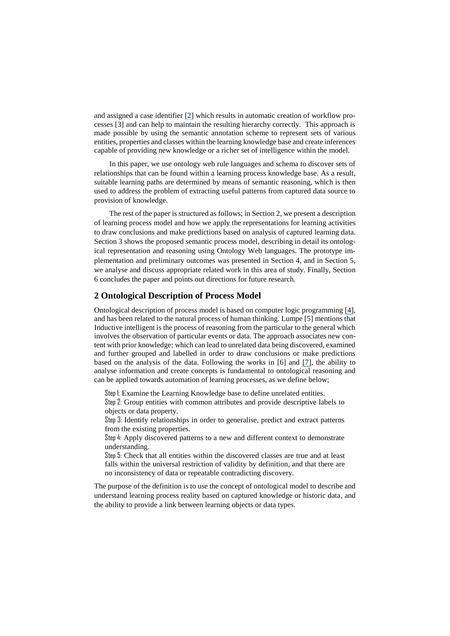and assigned a case identifier [\[2\]](https://www.researchgate.net/publication/220693003_Process_Mining_Discovery_Conformance_and_Enhancement_of_Business_Processes?el=1_x_8&enrichId=rgreq-ac7fa952dbf15a0b779d3ff8a7c65959-XXX&enrichSource=Y292ZXJQYWdlOzI4NjkwNDkzMTtBUzozMDY2MzIwODc1Mzk3MTRAMTQ1MDExODE5NDU0Ng==) which results in automatic creation of workflow processes [3] and can help to maintain the resulting hierarchy correctly. This approach is made possible by using the semantic annotation scheme to represent sets of various entities, properties and classes within the learning knowledge base and create inferences capable of providing new knowledge or a richer set of intelligence within the model.

 In this paper, we use ontology web rule languages and schema to discover sets of relationships that can be found within a learning process knowledge base. As a result, suitable learning paths are determined by means of semantic reasoning, which is then used to address the problem of extracting useful patterns from captured data source to provision of knowledge.

 The rest of the paper is structured as follows; in Section 2, we present a description of learning process model and how we apply the representations for learning activities to draw conclusions and make predictions based on analysis of captured learning data. Section 3 shows the proposed semantic process model, describing in detail its ontological representation and reasoning using Ontology Web languages. The prototype implementation and preliminary outcomes was presented in Section 4, and in Section 5, we analyse and discuss appropriate related work in this area of study. Finally, Section 6 concludes the paper and points out directions for future research.

# **2 Ontological Description of Process Model**

Ontological description of process model is based on computer logic programming [\[4\]](https://www.researchgate.net/publication/264159681_KBRE_A_framework_for_knowledge-based_requirements_engineering?el=1_x_8&enrichId=rgreq-ac7fa952dbf15a0b779d3ff8a7c65959-XXX&enrichSource=Y292ZXJQYWdlOzI4NjkwNDkzMTtBUzozMDY2MzIwODc1Mzk3MTRAMTQ1MDExODE5NDU0Ng==), and has been related to the natural process of human thinking. Lumpe [5] mentions that Inductive intelligent is the process of reasoning from the particular to the general which involves the observation of particular events or data. The approach associates new content with prior knowledge; which can lead to unrelated data being discovered, examined and further grouped and labelled in order to draw conclusions or make predictions based on the analysis of the data. Following the works in [6] and [\[7\]](https://www.researchgate.net/publication/216409066_Deductive_and_Inductive_Stream_Reasoning_for_Semantic_Social_Media_Analytics?el=1_x_8&enrichId=rgreq-ac7fa952dbf15a0b779d3ff8a7c65959-XXX&enrichSource=Y292ZXJQYWdlOzI4NjkwNDkzMTtBUzozMDY2MzIwODc1Mzk3MTRAMTQ1MDExODE5NDU0Ng==), the ability to analyse information and create concepts is fundamental to ontological reasoning and can be applied towards automation of learning processes, as we define below;

Step 1: Examine the Learning Knowledge base to define unrelated entities.

Step 2: Group entities with common attributes and provide descriptive labels to objects or data property.

Step 3: Identify relationships in order to generalise, predict and extract patterns from the existing properties.

Step 4: Apply discovered patterns to a new and different context to demonstrate understanding.

Step 5: Check that all entities within the discovered classes are true and at least falls within the universal restriction of validity by definition, and that there are no inconsistency of data or repeatable contradicting discovery.

The purpose of the definition is to use the concept of ontological model to describe and understand learning process reality based on captured knowledge or historic data, and the ability to provide a link between learning objects or data types.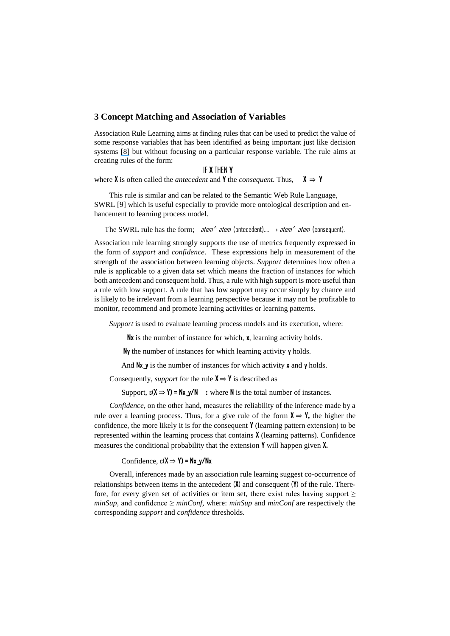### **3 Concept Matching and Association of Variables**

Association Rule Learning aims at finding rules that can be used to predict the value of some response variables that has been identified as being important just like decision systems [\[8\]](https://www.researchgate.net/publication/240917565_Towards_Adaptive_E-Learning_using_Decision_Support_Systems?el=1_x_8&enrichId=rgreq-ac7fa952dbf15a0b779d3ff8a7c65959-XXX&enrichSource=Y292ZXJQYWdlOzI4NjkwNDkzMTtBUzozMDY2MzIwODc1Mzk3MTRAMTQ1MDExODE5NDU0Ng==) but without focusing on a particular response variable. The rule aims at creating rules of the form:

# IF **X** THEN **Y**

where **X** is often called the *antecedent* and **Y** the *consequent*. Thus,  $X \Rightarrow Y$ 

 This rule is similar and can be related to the Semantic Web Rule Language, SWRL [9] which is useful especially to provide more ontological description and enhancement to learning process model.

The SWRL rule has the form;  $atom^{\wedge}$  atom (antecedent)....  $\rightarrow$  atom  $^{\wedge}$  atom (consequent).

Association rule learning strongly supports the use of metrics frequently expressed in the form of *support* and *confidence*. These expressions help in measurement of the strength of the association between learning objects. *Support* determines how often a rule is applicable to a given data set which means the fraction of instances for which both antecedent and consequent hold. Thus, a rule with high support is more useful than a rule with low support. A rule that has low support may occur simply by chance and is likely to be irrelevant from a learning perspective because it may not be profitable to monitor, recommend and promote learning activities or learning patterns.

 *Support* is used to evaluate learning process models and its execution, where:

**Nx** is the number of instance for which, **x**, learning activity holds.

**Ny** the number of instances for which learning activity **y** holds.

And **Nx˰̭y** is the number of instances for which activity **x** and **y** holds.

Consequently, *support* for the rule  $X \Rightarrow Y$  is described as

Support,  $s(X \Rightarrow Y) = Nx_y/N$  : where N is the total number of instances.

 *Confidence*, on the other hand, measures the reliability of the inference made by a rule over a learning process. Thus, for a give rule of the form  $X \rightarrow Y$ , the higher the confidence, the more likely it is for the consequent **Y** (learning pattern extension) to be represented within the learning process that contains **X** (learning patterns). Confidence measures the conditional probability that the extension **Y** will happen given **X.** 

# Confidence,  $c(X \Rightarrow Y) = Nx$   $y/Nx$

 Overall, inferences made by an association rule learning suggest co-occurrence of relationships between items in the antecedent (**X**) and consequent (**Y**) of the rule. Therefore, for every given set of activities or item set, there exist rules having support > *minSup*, and confidence  $\geq minConf$ , where: *minSup* and *minConf* are respectively the corresponding *support* and *confidence* thresholds.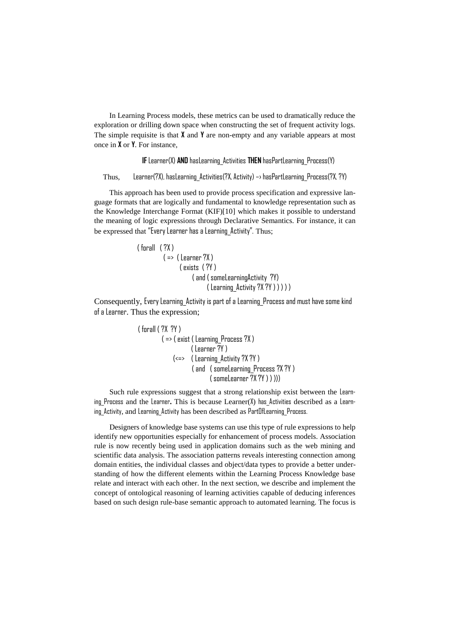In Learning Process models, these metrics can be used to dramatically reduce the exploration or drilling down space when constructing the set of frequent activity logs. The simple requisite is that **X** and **Y** are non-empty and any variable appears at most once in **X** or **Y**. For instance,

**IF**Learner(X) **AND** hasLearning\_Activities **THEN** hasPartLearning\_Process(Y)

Thus, Learner(?X), has Learning Activities(?X, Activity)  $\rightarrow$  has PartLearning Process(?X, ?Y)

 This approach has been used to provide process specification and expressive language formats that are logically and fundamental to knowledge representation such as the Knowledge Interchange Format (KIF)[10] which makes it possible to understand the meaning of logic expressions through Declarative Semantics. For instance, it can be expressed that "Every Learner has a Learning Activity". Thus;

```
(foral ( ?X)( => ( Learner ?X) ( exists ( ?Y )
          ( and ( someLearningActivity ?Y)
              ( Learning Activity ?X ?Y ) ) ) ) )
```
Consequently, Every Learning Activity is part of a Learning Process and must have some kind of a Learner. Thus the expression;

 ( forall ( ?X ?Y ) ( => ( exist ( Learning\_Process ?X) ( Learner ?Y ) (<=> ( Learning\_Activity ?X ?Y ) ( and ( someLearning\_Process ?X ?Y ) ( someLearner ?X ?Y ) ) )))

 Such rule expressions suggest that a strong relationship exist between the Learning Process and the Learner. This is because Learner(X) has Activities described as a Learning Activity, and Learning Activity has been described as PartOfLearning Process.

 Designers of knowledge base systems can use this type of rule expressions to help identify new opportunities especially for enhancement of process models. Association rule is now recently being used in application domains such as the web mining and scientific data analysis. The association patterns reveals interesting connection among domain entities, the individual classes and object/data types to provide a better understanding of how the different elements within the Learning Process Knowledge base relate and interact with each other. In the next section, we describe and implement the concept of ontological reasoning of learning activities capable of deducing inferences based on such design rule-base semantic approach to automated learning. The focus is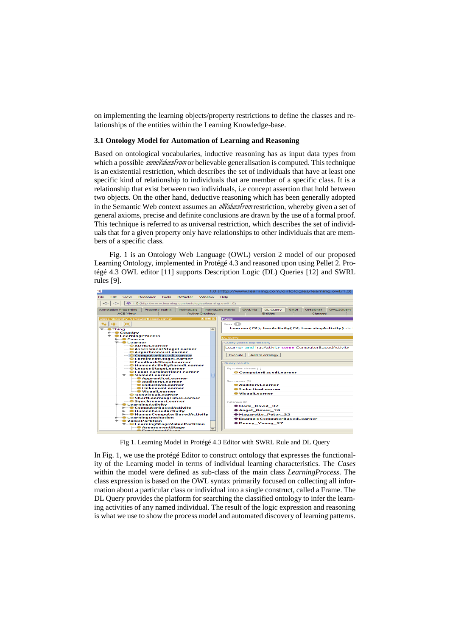on implementing the learning objects/property restrictions to define the classes and relationships of the entities within the Learning Knowledge-base.

#### **3.1 Ontology Model for Automation of Learning and Reasoning**

Based on ontological vocabularies, inductive reasoning has as input data types from which a possible *someValuesFrom* or believable generalisation is computed. This technique is an existential restriction, which describes the set of individuals that have at least one specific kind of relationship to individuals that are member of a specific class. It is a relationship that exist between two individuals, i.e concept assertion that hold between two objects. On the other hand, deductive reasoning which has been generally adopted in the Semantic Web context assumes an *allValuesFrom* restriction, whereby given a set of general axioms, precise and definite conclusions are drawn by the use of a formal proof. This technique is referred to as universal restriction, which describes the set of individuals that for a given property only have relationships to other individuals that are members of a specific class.

 Fig. 1 is an Ontology Web Language (OWL) version 2 model of our proposed Learning Ontology, implemented in Protégé 4.3 and reasoned upon using Pellet 2. Protégé 4.3 OWL editor [11] supports Description Logic (DL) Queries [12] and SWRL rules [9].



Fig 1. Learning Model in Protégé 4.3 Editor with SWRL Rule and DL Query

In Fig. 1, we use the protégé Editor to construct ontology that expresses the functionality of the Learning model in terms of individual learning characteristics. The *Cases* within the model were defined as sub-class of the main class *LearningProcess*. The class expression is based on the OWL syntax primarily focused on collecting all information about a particular class or individual into a single construct, called a Frame. The DL Query provides the platform for searching the classified ontology to infer the learning activities of any named individual. The result of the logic expression and reasoning is what we use to show the process model and automated discovery of learning patterns.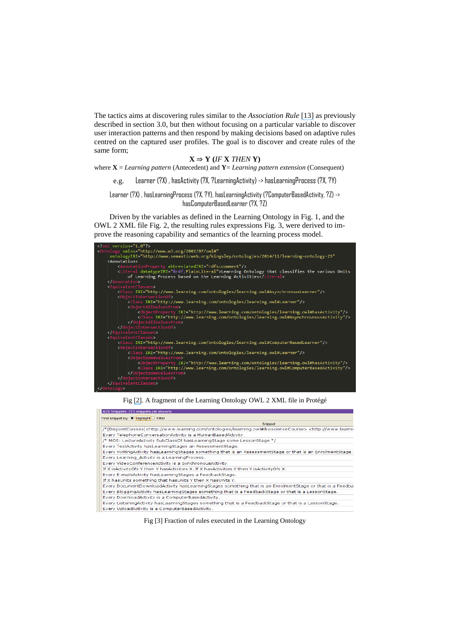The tactics aims at discovering rules similar to the *Association Rule* [\[13\]](https://www.researchgate.net/publication/242396122_Data_mining_concepts_and_techniques_morgan_kaufmann?el=1_x_8&enrichId=rgreq-ac7fa952dbf15a0b779d3ff8a7c65959-XXX&enrichSource=Y292ZXJQYWdlOzI4NjkwNDkzMTtBUzozMDY2MzIwODc1Mzk3MTRAMTQ1MDExODE5NDU0Ng==) as previously described in section 3.0, but then without focusing on a particular variable to discover user interaction patterns and then respond by making decisions based on adaptive rules centred on the captured user profiles. The goal is to discover and create rules of the same form;

### **X** ⇒ **Y (***IF* **X** *THEN* **Y)**

where **X** = *Learning pattern* (Antecedent) and **Y**= *Learning pattern extension* (Consequent)

e.g. Learner (?X) , hasActivity (?X, ?LearningActivity) -> hasLearningProcess (?X, ?Y)

Learner (?X), hasLearningProcess (?X, ?Y), hasLearningActivity (?ComputerBasedActivity, ?Z) -> hasComputerBasedLearner (?X, ?Z)

 Driven by the variables as defined in the Learning Ontology in Fig. 1, and the OWL 2 XML file Fig. 2, the resulting rules expressions Fig. 3, were derived to improve the reasoning capability and semantics of the learning process model.



Fig [\[2\]](https://www.researchgate.net/publication/220693003_Process_Mining_Discovery_Conformance_and_Enhancement_of_Business_Processes?el=1_x_8&enrichId=rgreq-ac7fa952dbf15a0b779d3ff8a7c65959-XXX&enrichSource=Y292ZXJQYWdlOzI4NjkwNDkzMTtBUzozMDY2MzIwODc1Mzk3MTRAMTQ1MDExODE5NDU0Ng==). A fragment of the Learning Ontology OWL 2 XML file in Protégé

| ACE Snippets: 313 snippets (all shown)                                                                                                       |
|----------------------------------------------------------------------------------------------------------------------------------------------|
| Find snippet by: $\odot$ Highlight $\odot$ Filter                                                                                            |
| Snippet                                                                                                                                      |
| /*[DisjointClasses( <http: learning.owl#biosciencecourse="" ontologies="" www.learning.com=""> <http: td="" www.learnir<=""></http:></http:> |
| Every TelephoneConversationActivity is a HumanBasedActivity.                                                                                 |
| /* MOS: LectureActivity SubClassOf hasLearningStage some LessonStage */                                                                      |
| Every TestActivity hasLearningStages an AssessmentStage.                                                                                     |
| Every WritingActivity hasLearningStages something that is an AssessmentStage or that is an EnrolmentStage (                                  |
| Every Learning Activity is a LearningProcess.                                                                                                |
| Every VideoConferenceActivity is a SynchronousActivity.                                                                                      |
| If X isActivityOfs Y then Y hasActivities X. If X hasActivities Y then Y isActivityOfs X.                                                    |
| Every E-mailsActivity hasLearningStages a FeedbackStage.                                                                                     |
| If X hasUnits something that hasUnits Y then X hasUnits Y.                                                                                   |
| Every DocumentDownloadActivity hasLearningStages something that is an EnrolmentStage or that is a Feedba                                     |
| Every BloggingActivity hasLearningStages something that is a FeedbackStage or that is a LessonStage.                                         |
| Every DownloadActivity is a ComputerBasedActivity.                                                                                           |
| Every ListeningActivity hasLearningStages something that is a FeedbackStage or that is a LessonStage.                                        |
| Every UploadActivity is a ComputerBasedActivity.                                                                                             |

Fig [3] Fraction of rules executed in the Learning Ontology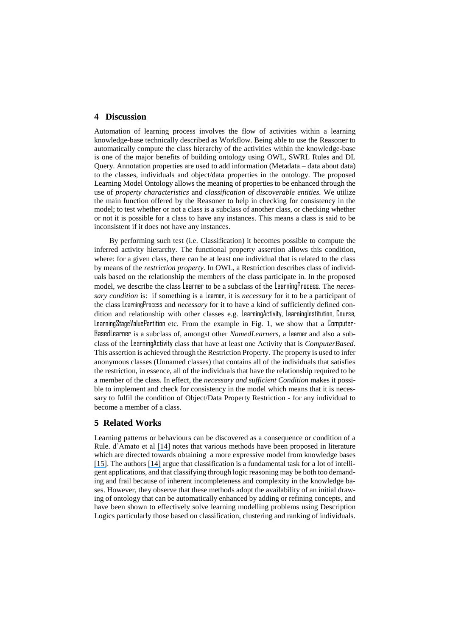## **4 Discussion**

Automation of learning process involves the flow of activities within a learning knowledge-base technically described as Workflow. Being able to use the Reasoner to automatically compute the class hierarchy of the activities within the knowledge-base is one of the major benefits of building ontology using OWL, SWRL Rules and DL Query. Annotation properties are used to add information (Metadata – data about data) to the classes, individuals and object/data properties in the ontology. The proposed Learning Model Ontology allows the meaning of properties to be enhanced through the use of *property characteristics* and *classification of discoverable entities.* We utilize the main function offered by the Reasoner to help in checking for consistency in the model; to test whether or not a class is a subclass of another class, or checking whether or not it is possible for a class to have any instances. This means a class is said to be inconsistent if it does not have any instances.

 By performing such test (i.e. Classification) it becomes possible to compute the inferred activity hierarchy. The functional property assertion allows this condition, where: for a given class, there can be at least one individual that is related to the class by means of the *restriction property*. In OWL, a Restriction describes class of individuals based on the relationship the members of the class participate in. In the proposed model, we describe the class Learner to be a subclass of the LearningProcess. The *necessary condition* is: if something is a Learner, it is *necessary* for it to be a participant of the class LearningProcess and *necessary* for it to have a kind of sufficiently defined condition and relationship with other classes e.g. LearningActivity, LearningInstitution, Course, LearningStageValuePartition etc. From the example in Fig. 1, we show that a Computer-BasedLearner is a subclass of, amongst other *NamedLearners*, a Learner and also a subclass of the LearningActivity class that have at least one Activity that is *ComputerBased*. This assertion is achieved through the Restriction Property. The property is used to infer anonymous classes (Unnamed classes) that contains all of the individuals that satisfies the restriction, in essence, all of the individuals that have the relationship required to be a member of the class. In effect, the *necessary and sufficient Condition* makes it possible to implement and check for consistency in the model which means that it is necessary to fulfil the condition of Object/Data Property Restriction - for any individual to become a member of a class.

## **5 Related Works**

Learning patterns or behaviours can be discovered as a consequence or condition of a Rule. d'Amato et al [\[14\]](https://www.researchgate.net/publication/271195747_Query_Answering_and_Ontology_Population_An_Inductive_Approach?el=1_x_8&enrichId=rgreq-ac7fa952dbf15a0b779d3ff8a7c65959-XXX&enrichSource=Y292ZXJQYWdlOzI4NjkwNDkzMTtBUzozMDY2MzIwODc1Mzk3MTRAMTQ1MDExODE5NDU0Ng==) notes that various methods have been proposed in literature which are directed towards obtaining a more expressive model from knowledge bases [\[15\]](https://www.researchgate.net/publication/220344024_Hitzler_P_Concept_learning_in_description_logics_using_refinement_operators_Machine_Learning_Journal_781-2_203-250?el=1_x_8&enrichId=rgreq-ac7fa952dbf15a0b779d3ff8a7c65959-XXX&enrichSource=Y292ZXJQYWdlOzI4NjkwNDkzMTtBUzozMDY2MzIwODc1Mzk3MTRAMTQ1MDExODE5NDU0Ng==). The authors [\[14\]](https://www.researchgate.net/publication/271195747_Query_Answering_and_Ontology_Population_An_Inductive_Approach?el=1_x_8&enrichId=rgreq-ac7fa952dbf15a0b779d3ff8a7c65959-XXX&enrichSource=Y292ZXJQYWdlOzI4NjkwNDkzMTtBUzozMDY2MzIwODc1Mzk3MTRAMTQ1MDExODE5NDU0Ng==) argue that classification is a fundamental task for a lot of intelligent applications, and that classifying through logic reasoning may be both too demanding and frail because of inherent incompleteness and complexity in the knowledge bases. However, they observe that these methods adopt the availability of an initial drawing of ontology that can be automatically enhanced by adding or refining concepts, and have been shown to effectively solve learning modelling problems using Description Logics particularly those based on classification, clustering and ranking of individuals.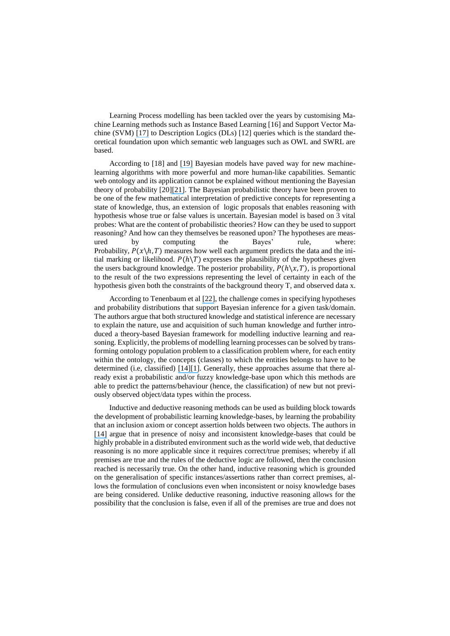Learning Process modelling has been tackled over the years by customising Machine Learning methods such as Instance Based Learning [16] and Support Vector Machine (SVM) [\[17\]](https://www.researchgate.net/publication/248590871_An_introduction_to_sup_-_port_vector_machines_and_other_kernel_-_based_methods?el=1_x_8&enrichId=rgreq-ac7fa952dbf15a0b779d3ff8a7c65959-XXX&enrichSource=Y292ZXJQYWdlOzI4NjkwNDkzMTtBUzozMDY2MzIwODc1Mzk3MTRAMTQ1MDExODE5NDU0Ng==) to Description Logics (DLs) [12] queries which is the standard theoretical foundation upon which semantic web languages such as OWL and SWRL are based.

 According to [18] and [\[19\]](https://www.researchgate.net/publication/44798533_Probabilistic_models_of_cognition_Exploring_representations_and_inductive_biases?el=1_x_8&enrichId=rgreq-ac7fa952dbf15a0b779d3ff8a7c65959-XXX&enrichSource=Y292ZXJQYWdlOzI4NjkwNDkzMTtBUzozMDY2MzIwODc1Mzk3MTRAMTQ1MDExODE5NDU0Ng==) Bayesian models have paved way for new machinelearning algorithms with more powerful and more human-like capabilities. Semantic web ontology and its application cannot be explained without mentioning the Bayesian theory of probability [20[\]\[21\]](https://www.researchgate.net/publication/248427660_When_did_Bayesian_Inference_Become?el=1_x_8&enrichId=rgreq-ac7fa952dbf15a0b779d3ff8a7c65959-XXX&enrichSource=Y292ZXJQYWdlOzI4NjkwNDkzMTtBUzozMDY2MzIwODc1Mzk3MTRAMTQ1MDExODE5NDU0Ng==). The Bayesian probabilistic theory have been proven to be one of the few mathematical interpretation of predictive concepts for representing a state of knowledge, thus, an extension of [logic](http://en.wikipedia.org/wiki/Propositional_logic) proposals that enables [reasoning](http://en.wikipedia.org/wiki/Reason) with hypothesis whose true or false values is [uncertain.](http://en.wikipedia.org/wiki/Uncertainty) Bayesian model is based on 3 vital probes: What are the content of probabilistic theories? How can they be used to support reasoning? And how can they themselves be reasoned upon? The hypotheses are measured by computing the Bayes' rule, where: Probability,  $P(x \backslash h, T)$  measures how well each argument predicts the data and the initial marking or likelihood.  $P(h\Upsilon)$  expresses the plausibility of the hypotheses given the users background knowledge. The posterior probability,  $P(h\setminus x, T)$ , is proportional to the result of the two expressions representing the level of certainty in each of the hypothesis given both the constraints of the background theory T, and observed data x.

 According to Tenenbaum et al [\[22\]](https://www.researchgate.net/publication/6987686_Theory-Based_Bayesian_Models_of_Inductive_Learning_and_Reasoning?el=1_x_8&enrichId=rgreq-ac7fa952dbf15a0b779d3ff8a7c65959-XXX&enrichSource=Y292ZXJQYWdlOzI4NjkwNDkzMTtBUzozMDY2MzIwODc1Mzk3MTRAMTQ1MDExODE5NDU0Ng==), the challenge comes in specifying hypotheses and probability distributions that support Bayesian inference for a given task/domain. The authors argue that both structured knowledge and statistical inference are necessary to explain the nature, use and acquisition of such human knowledge and further introduced a theory-based Bayesian framework for modelling inductive learning and reasoning. Explicitly, the problems of modelling learning processes can be solved by transforming ontology population problem to a classification problem where, for each entity within the ontology, the concepts (classes) to which the entities belongs to have to be determined (i.e, classified) [\[14\]](https://www.researchgate.net/publication/271195747_Query_Answering_and_Ontology_Population_An_Inductive_Approach?el=1_x_8&enrichId=rgreq-ac7fa952dbf15a0b779d3ff8a7c65959-XXX&enrichSource=Y292ZXJQYWdlOzI4NjkwNDkzMTtBUzozMDY2MzIwODc1Mzk3MTRAMTQ1MDExODE5NDU0Ng==)[\[1\]](https://www.researchgate.net/publication/265845261_A_Semantic_Rule-based_Approach_Supported_by_Process_Mining_for_Personalised_Adaptive_Learning?el=1_x_8&enrichId=rgreq-ac7fa952dbf15a0b779d3ff8a7c65959-XXX&enrichSource=Y292ZXJQYWdlOzI4NjkwNDkzMTtBUzozMDY2MzIwODc1Mzk3MTRAMTQ1MDExODE5NDU0Ng==). Generally, these approaches assume that there already exist a probabilistic and/or fuzzy knowledge-base upon which this methods are able to predict the patterns/behaviour (hence, the classification) of new but not previously observed object/data types within the process.

 Inductive and deductive reasoning methods can be used as building block towards the development of probabilistic learning knowledge-bases, by learning the probability that an inclusion axiom or concept assertion holds between two objects. The authors in [\[14\]](https://www.researchgate.net/publication/271195747_Query_Answering_and_Ontology_Population_An_Inductive_Approach?el=1_x_8&enrichId=rgreq-ac7fa952dbf15a0b779d3ff8a7c65959-XXX&enrichSource=Y292ZXJQYWdlOzI4NjkwNDkzMTtBUzozMDY2MzIwODc1Mzk3MTRAMTQ1MDExODE5NDU0Ng==) argue that in presence of noisy and inconsistent knowledge-bases that could be highly probable in a distributed environment such as the world wide web, that deductive reasoning is no more applicable since it requires correct/true premises; whereby if all premises are true and the rules of the deductive [logic](http://en.wikipedia.org/wiki/Logic) are followed, then the conclusion reached is [necessarily true.](http://en.wikipedia.org/wiki/Logical_necessity) On the other hand, inductive reasoning which is grounded on the generalisation of specific instances/assertions rather than correct premises, allows the formulation of conclusions even when inconsistent or noisy knowledge bases are being considered. Unlike deductive reasoning, inductive reasoning allows for the possibility that the conclusion is false, even if all of the [premises](http://en.wikipedia.org/wiki/Premise) are true and does not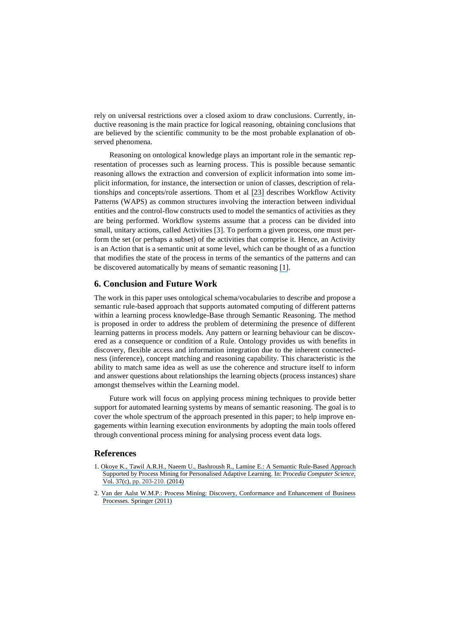rely on universal restrictions over a closed axiom to draw conclusions. Currently, inductive reasoning is the main practice for logical reasoning, obtaining conclusions that are believed by the scientific community to be the most probable explanation of observed phenomena.

 Reasoning on ontological knowledge plays an important role in the semantic representation of processes such as learning process. This is possible because semantic reasoning allows the extraction and conversion of explicit information into some implicit information, for instance, the intersection or union of classes, description of relationships and concepts/role assertions. Thom et al [\[23\]](https://www.researchgate.net/publication/228938574_Activity_patterns_in_process-aware_information_systems_Basic_concepts_and_empirical_evidence?el=1_x_8&enrichId=rgreq-ac7fa952dbf15a0b779d3ff8a7c65959-XXX&enrichSource=Y292ZXJQYWdlOzI4NjkwNDkzMTtBUzozMDY2MzIwODc1Mzk3MTRAMTQ1MDExODE5NDU0Ng==) describes Workflow Activity Patterns (WAPS) as common structures involving the interaction between individual entities and the control-flow constructs used to model the semantics of activities as they are being performed. Workflow systems assume that a process can be divided into small, unitary actions, called Activities [3]. To perform a given process, one must perform the set (or perhaps a subset) of the activities that comprise it. Hence, an Activity is an Action that is a semantic unit at some level, which can be thought of as a function that modifies the state of the process in terms of the semantics of the patterns and can be discovered automatically by means of semantic reasoning [\[1\]](https://www.researchgate.net/publication/265845261_A_Semantic_Rule-based_Approach_Supported_by_Process_Mining_for_Personalised_Adaptive_Learning?el=1_x_8&enrichId=rgreq-ac7fa952dbf15a0b779d3ff8a7c65959-XXX&enrichSource=Y292ZXJQYWdlOzI4NjkwNDkzMTtBUzozMDY2MzIwODc1Mzk3MTRAMTQ1MDExODE5NDU0Ng==).

# **6. Conclusion and Future Work**

The work in this paper uses ontological schema/vocabularies to describe and propose a semantic rule-based approach that supports automated computing of different patterns within a learning process knowledge-Base through Semantic Reasoning. The method is proposed in order to address the problem of determining the presence of different learning patterns in process models. Any pattern or learning behaviour can be discovered as a consequence or condition of a Rule. Ontology provides us with benefits in discovery, flexible access and information integration due to the inherent connectedness (inference), concept matching and reasoning capability. This characteristic is the ability to match same idea as well as use the coherence and structure itself to inform and answer questions about relationships the learning objects (process instances) share amongst themselves within the Learning model.

 Future work will focus on applying process mining techniques to provide better support for automated learning systems by means of semantic reasoning. The goal is to cover the whole spectrum of the approach presented in this paper; to help improve engagements within learning execution environments by adopting the main tools offered through conventional process mining for analysing process event data logs.

### **References**

- 1. [Okoye K., Tawil A.R.H., Naeem U., Bashroush R., Lamine E.: A Semantic Rule-Based Approach](https://www.researchgate.net/publication/265845261_A_Semantic_Rule-based_Approach_Supported_by_Process_Mining_for_Personalised_Adaptive_Learning?el=1_x_8&enrichId=rgreq-ac7fa952dbf15a0b779d3ff8a7c65959-XXX&enrichSource=Y292ZXJQYWdlOzI4NjkwNDkzMTtBUzozMDY2MzIwODc1Mzk3MTRAMTQ1MDExODE5NDU0Ng==)  [Supported by Process Mining for Personalised Adaptive Learning.](https://www.researchgate.net/publication/265845261_A_Semantic_Rule-based_Approach_Supported_by_Process_Mining_for_Personalised_Adaptive_Learning?el=1_x_8&enrichId=rgreq-ac7fa952dbf15a0b779d3ff8a7c65959-XXX&enrichSource=Y292ZXJQYWdlOzI4NjkwNDkzMTtBUzozMDY2MzIwODc1Mzk3MTRAMTQ1MDExODE5NDU0Ng==) In: Pro*cedia Computer Science,* [Vol. 37\(c\), pp. 203-210.](https://www.researchgate.net/publication/265845261_A_Semantic_Rule-based_Approach_Supported_by_Process_Mining_for_Personalised_Adaptive_Learning?el=1_x_8&enrichId=rgreq-ac7fa952dbf15a0b779d3ff8a7c65959-XXX&enrichSource=Y292ZXJQYWdlOzI4NjkwNDkzMTtBUzozMDY2MzIwODc1Mzk3MTRAMTQ1MDExODE5NDU0Ng==) (2014)
- 2. [Van der Aalst W.M.P.: Process Mining: Discovery, Conformance and Enhancement of Business](https://www.researchgate.net/publication/220693003_Process_Mining_Discovery_Conformance_and_Enhancement_of_Business_Processes?el=1_x_8&enrichId=rgreq-ac7fa952dbf15a0b779d3ff8a7c65959-XXX&enrichSource=Y292ZXJQYWdlOzI4NjkwNDkzMTtBUzozMDY2MzIwODc1Mzk3MTRAMTQ1MDExODE5NDU0Ng==) [Processes. Springer \(2011\)](https://www.researchgate.net/publication/220693003_Process_Mining_Discovery_Conformance_and_Enhancement_of_Business_Processes?el=1_x_8&enrichId=rgreq-ac7fa952dbf15a0b779d3ff8a7c65959-XXX&enrichSource=Y292ZXJQYWdlOzI4NjkwNDkzMTtBUzozMDY2MzIwODc1Mzk3MTRAMTQ1MDExODE5NDU0Ng==)